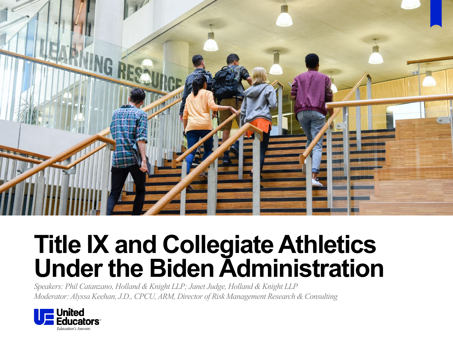

## **Title IX and Collegiate Athletics Under the Biden Administration**

*Speakers: Phil Catanzano, Holland & Knight LLP; Janet Judge, Holland & Knight LLP Moderator: Alyssa Keehan, J.D., CPCU, ARM, Director of Risk Management Research & Consulting*

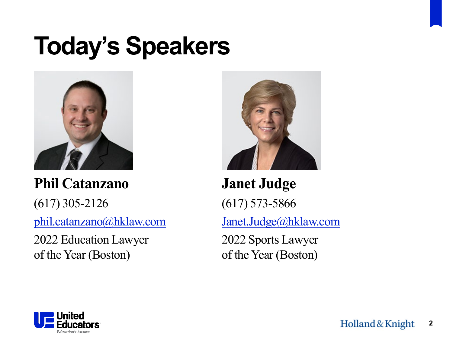# **Today's Speakers**



**Phil Catanzano** (617) 305-2126 [phil.catanzano@hklaw.com](mailto:phil.catanzano@hklaw.com)

2022 Education Lawyer of the Year (Boston)



**Janet Judge** (617) 573-5866 [Janet.Judge@hklaw.com](mailto:Janet.Judge@hklaw.com) 2022 Sports Lawyer of the Year (Boston)

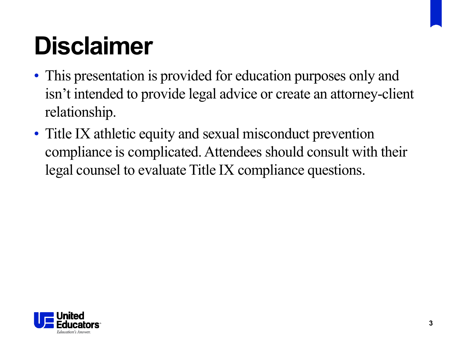# **Disclaimer**

- This presentation is provided for education purposes only and isn't intended to provide legal advice or create an attorney-client relationship.
- Title IX athletic equity and sexual misconduct prevention compliance is complicated. Attendees should consult with their legal counsel to evaluate Title IX compliance questions.

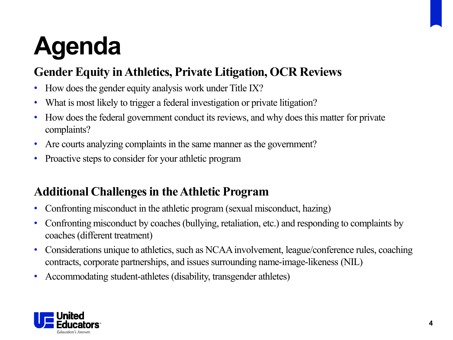# **Agenda**

## **Gender Equity in Athletics, Private Litigation, OCR Reviews**

- How does the gender equity analysis work under Title IX?
- What is most likely to trigger a federal investigation or private litigation?
- How does the federal government conduct its reviews, and why does this matter for private complaints?
- Are courts analyzing complaints in the same manner as the government?
- Proactive steps to consider for your athletic program

## **Additional Challenges in the Athletic Program**

- Confronting misconduct in the athletic program (sexual misconduct, hazing)
- Confronting misconduct by coaches (bullying, retaliation, etc.) and responding to complaints by coaches (different treatment)
- Considerations unique to athletics, such as NCAA involvement, league/conference rules, coaching contracts, corporate partnerships, and issues surrounding name-image-likeness (NIL)
- Accommodating student-athletes (disability, transgender athletes)

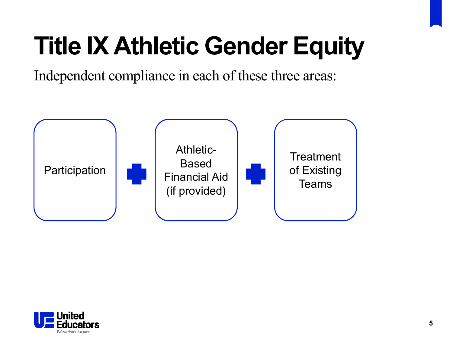# **Title IX Athletic Gender Equity**

Independent compliance in each of these three areas:



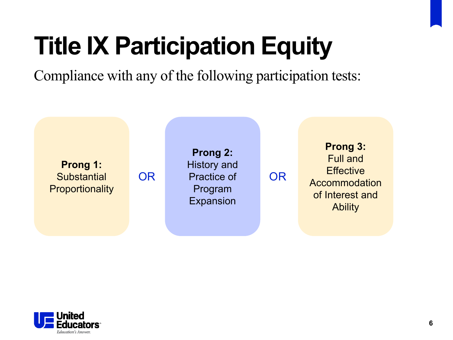# **Title IX Participation Equity**

Compliance with any of the following participation tests:



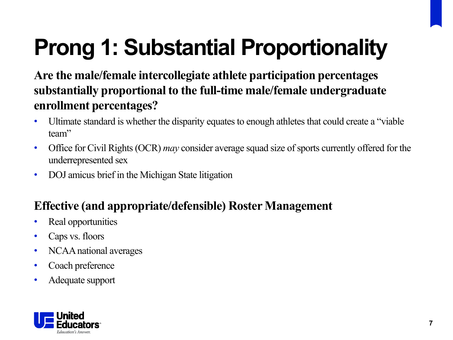# **Prong 1: Substantial Proportionality**

**Are the male/female intercollegiate athlete participation percentages substantially proportional to the full-time male/female undergraduate enrollment percentages?** 

- Ultimate standard is whether the disparity equates to enough athletes that could create a "viable" team"
- Office for Civil Rights (OCR) *may* consider average squad size of sports currently offered for the underrepresented sex
- DOJ amicus brief in the Michigan State litigation

## **Effective (and appropriate/defensible) Roster Management**

- Real opportunities
- Caps vs. floors
- NCAA national averages
- Coach preference
- Adequate support

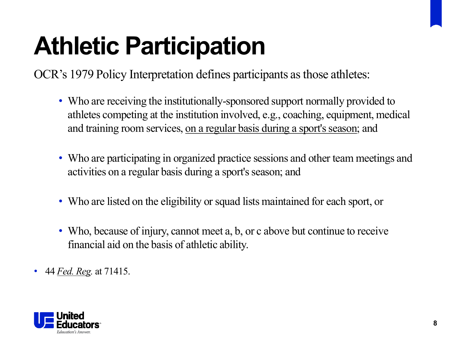# **Athletic Participation**

OCR's 1979 Policy Interpretation defines participants as those athletes:

- Who are receiving the institutionally-sponsored support normally provided to athletes competing at the institution involved, e.g., coaching, equipment, medical and training room services, on a regular basis during a sport's season; and
- Who are participating in organized practice sessions and other team meetings and activities on a regular basis during a sport's season; and
- Who are listed on the eligibility or squad lists maintained for each sport, or
- Who, because of injury, cannot meet a, b, or c above but continue to receive financial aid on the basis of athletic ability.
- 44 *Fed. Reg.* at 71415.

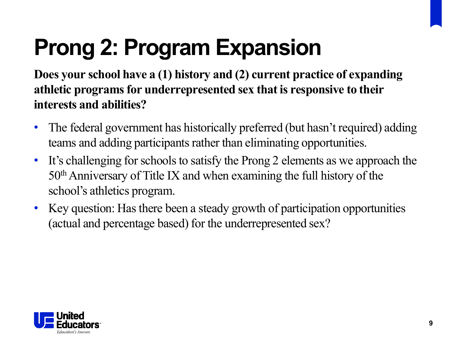# **Prong 2: Program Expansion**

**Does your school have a (1) history and (2) current practice of expanding athletic programs for underrepresented sex that is responsive to their interests and abilities?** 

- The federal government has historically preferred (but hasn't required) adding teams and adding participants rather than eliminating opportunities.
- It's challenging for schools to satisfy the Prong 2 elements as we approach the 50thAnniversary of Title IX and when examining the full history of the school's athletics program.
- Key question: Has there been a steady growth of participation opportunities (actual and percentage based) for the underrepresented sex?

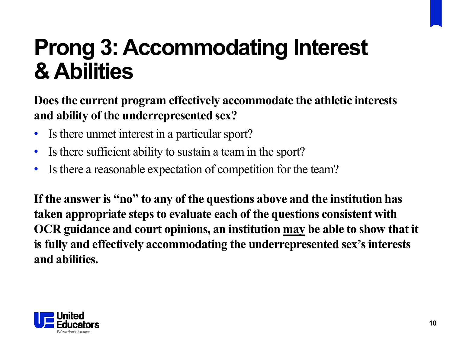## **Prong 3: Accommodating Interest & Abilities**

**Does the current program effectively accommodate the athletic interests and ability of the underrepresented sex?**

- Is there unmet interest in a particular sport?
- Is there sufficient ability to sustain a team in the sport?
- Is there a reasonable expectation of competition for the team?

**If the answer is "no" to any of the questions above and the institution has taken appropriate steps to evaluate each of the questions consistent with OCR guidance and court opinions, an institution may be able to show that it is fully and effectively accommodating the underrepresented sex's interests and abilities.** 

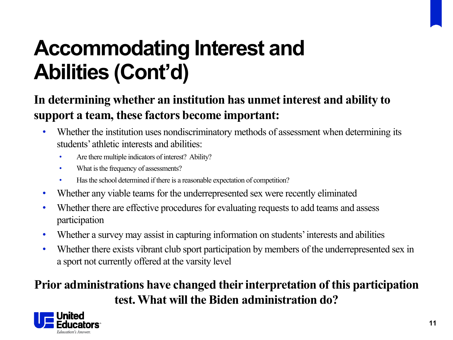## **Accommodating Interest and Abilities (Cont'd)**

### **In determining whether an institution has unmet interest and ability to support a team, these factors become important:**

- Whether the institution uses nondiscriminatory methods of assessment when determining its students' athletic interests and abilities:
	- Are there multiple indicators of interest? Ability?
	- What is the frequency of assessments?
	- Has the school determined if there is a reasonable expectation of competition?
- Whether any viable teams for the underrepresented sex were recently eliminated
- Whether there are effective procedures for evaluating requests to add teams and assess participation
- Whether a survey may assist in capturing information on students' interests and abilities
- Whether there exists vibrant club sport participation by members of the underrepresented sex in a sport not currently offered at the varsity level

## **Prior administrations have changed their interpretation of this participation test. What will the Biden administration do?**

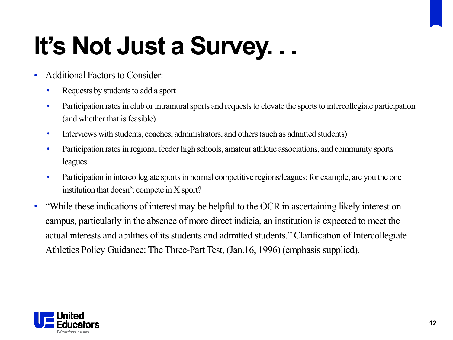# **It's Not Just a Survey. . .**

- Additional Factors to Consider:
	- Requests by students to add a sport
	- Participation rates in club or intramural sports and requests to elevate the sports to intercollegiate participation (and whether that is feasible)
	- Interviews with students, coaches, administrators, and others (such as admitted students)
	- Participation rates in regional feeder high schools, amateur athletic associations, and community sports leagues
	- Participation in intercollegiate sports in normal competitive regions/leagues; for example, are you the one institution that doesn't compete in X sport?
- "While these indications of interest may be helpful to the OCR in ascertaining likely interest on campus, particularly in the absence of more direct indicia, an institution is expected to meet the actual interests and abilities of its students and admitted students." Clarification of Intercollegiate Athletics Policy Guidance: The Three-Part Test, (Jan.16, 1996) (emphasis supplied).

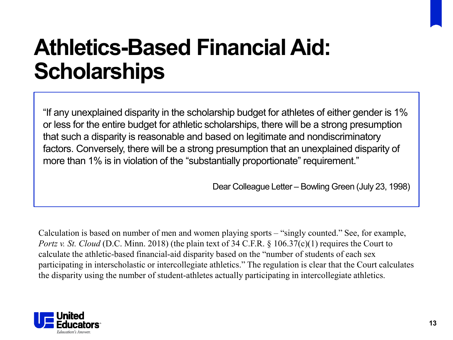## **Athletics-Based Financial Aid: Scholarships**

"If any unexplained disparity in the scholarship budget for athletes of either gender is 1% or less for the entire budget for athletic scholarships, there will be a strong presumption that such a disparity is reasonable and based on legitimate and nondiscriminatory factors. Conversely, there will be a strong presumption that an unexplained disparity of more than 1% is in violation of the "substantially proportionate" requirement."

Dear Colleague Letter – Bowling Green (July 23, 1998)

Calculation is based on number of men and women playing sports – "singly counted." See, for example, *Portz v. St. Cloud* (D.C. Minn. 2018) (the plain text of 34 C.F.R. § 106.37(c)(1) requires the Court to calculate the athletic-based financial-aid disparity based on the "number of students of each sex participating in interscholastic or intercollegiate athletics." The regulation is clear that the Court calculates the disparity using the number of student-athletes actually participating in intercollegiate athletics.

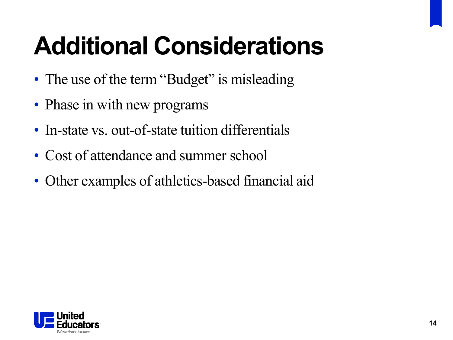# **Additional Considerations**

- The use of the term "Budget" is misleading
- Phase in with new programs
- In-state vs. out-of-state tuition differentials
- Cost of attendance and summer school
- Other examples of athletics-based financial aid

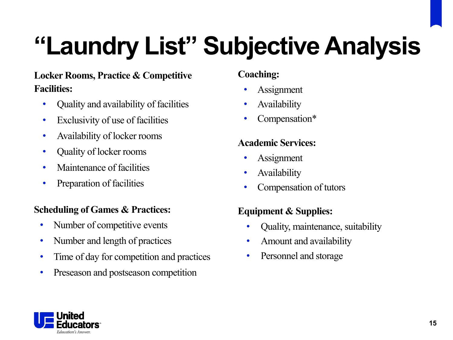# **"Laundry List" Subjective Analysis**

### **Locker Rooms, Practice & Competitive Facilities:**

- Quality and availability of facilities
- Exclusivity of use of facilities
- Availability of locker rooms
- Quality of locker rooms
- Maintenance of facilities
- Preparation of facilities

#### **Scheduling of Games & Practices:**

- Number of competitive events
- Number and length of practices
- Time of day for competition and practices
- Preseason and postseason competition

#### **Coaching:**

- **Assignment**
- Availability
- Compensation\*

#### **Academic Services:**

- Assignment
- **Availability**
- Compensation of tutors

#### **Equipment & Supplies:**

- Quality, maintenance, suitability
- Amount and availability
- Personnel and storage

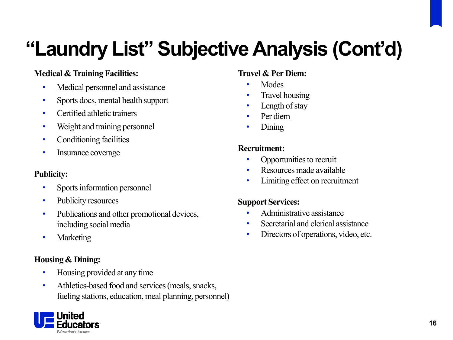## **"Laundry List" Subjective Analysis (Cont'd)**

#### **Medical & Training Facilities:**

- Medical personnel and assistance
- Sports docs, mental health support
- Certified athletic trainers
- Weight and training personnel
- Conditioning facilities
- Insurance coverage

#### **Publicity:**

- Sports information personnel
- Publicity resources
- Publications and other promotional devices, including social media
- Marketing

#### **Housing & Dining:**

- Housing provided at any time
- Athletics-based food and services (meals, snacks, fueling stations, education, meal planning, personnel)

#### **Travel & Per Diem:**

- Modes
- Travel housing
- Length of stay
- Per diem
- Dining

#### **Recruitment:**

- Opportunities to recruit
- Resources made available
- Limiting effect on recruitment

#### **Support Services:**

- Administrative assistance
- Secretarial and clerical assistance
- Directors of operations, video, etc.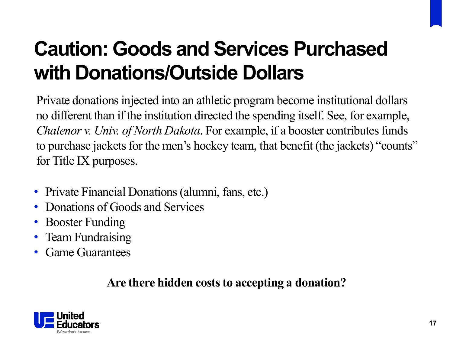## **Caution: Goods and Services Purchased with Donations/Outside Dollars**

Private donations injected into an athletic program become institutional dollars no different than if the institution directed the spending itself. See, for example, *Chalenor v. Univ. of North Dakota*. For example, if a booster contributes funds to purchase jackets for the men's hockey team, that benefit (the jackets) "counts" for Title IX purposes.

- Private Financial Donations (alumni, fans, etc.)
- Donations of Goods and Services
- Booster Funding
- Team Fundraising
- Game Guarantees

### **Are there hidden costs to accepting a donation?**

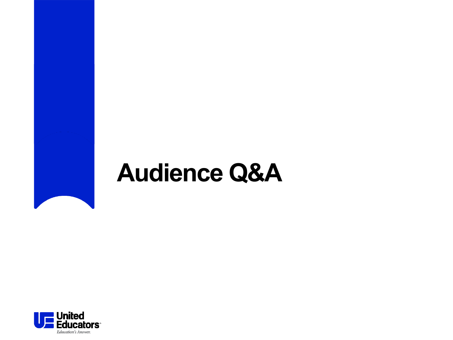## **Audience Q&A**

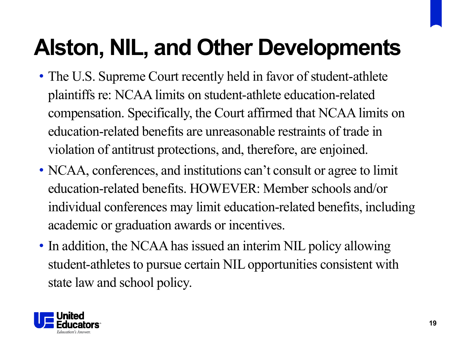# **Alston, NIL, and Other Developments**

- The U.S. Supreme Court recently held in favor of student-athlete plaintiffs re: NCAA limits on student-athlete education-related compensation. Specifically, the Court affirmed that NCAA limits on education-related benefits are unreasonable restraints of trade in violation of antitrust protections, and, therefore, are enjoined.
- NCAA, conferences, and institutions can't consult or agree to limit education-related benefits. HOWEVER: Member schools and/or individual conferences may limit education-related benefits, including academic or graduation awards or incentives.
- In addition, the NCAA has issued an interim NIL policy allowing student-athletes to pursue certain NIL opportunities consistent with state law and school policy.

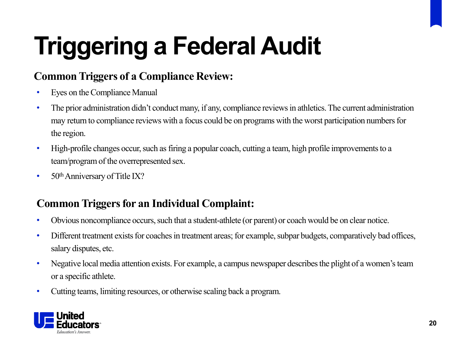# **Triggering a Federal Audit**

### **Common Triggers of a Compliance Review:**

- Eyes on the Compliance Manual
- The prior administration didn't conduct many, if any, compliance reviews in athletics. The current administration may return to compliance reviews with a focus could be on programs with the worst participation numbers for the region.
- High-profile changes occur, such as firing a popular coach, cutting a team, high profile improvements to a team/program of the overrepresented sex.
- $50<sup>th</sup>$  Anniversary of Title IX?

### **Common Triggers for an Individual Complaint:**

- Obvious noncompliance occurs, such that a student-athlete (or parent) or coach would be on clear notice.
- Different treatment exists for coaches in treatment areas; for example, subpar budgets, comparatively bad offices, salary disputes, etc.
- Negative local media attention exists. For example, a campus newspaper describes the plight of a women's team or a specific athlete.
- Cutting teams, limiting resources, or otherwise scaling back a program.

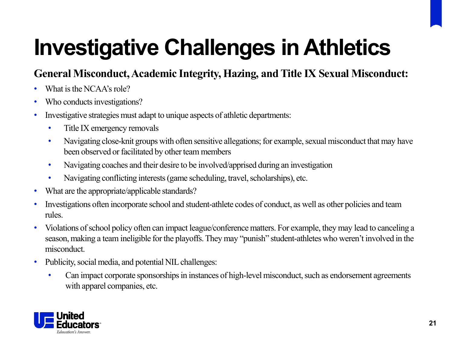# **Investigative Challenges in Athletics**

### **General Misconduct, Academic Integrity, Hazing, and Title IX Sexual Misconduct:**

- What is the NCAA's role?
- Who conducts investigations?
- Investigative strategies must adapt to unique aspects of athletic departments:
	- Title IX emergency removals
	- Navigating close-knit groups with often sensitive allegations; for example, sexual misconduct that may have been observed or facilitated by other team members
	- Navigating coaches and their desire to be involved/apprised during an investigation
	- Navigating conflicting interests (game scheduling, travel, scholarships), etc.
- What are the appropriate/applicable standards?
- Investigations often incorporate school and student-athlete codes of conduct, as well as other policies and team rules.
- Violations of school policy often can impact league/conference matters. For example, they may lead to canceling a season, making a team ineligible for the playoffs. They may "punish" student-athletes who weren't involved in the misconduct.
- Publicity, social media, and potential NIL challenges:
	- Can impact corporate sponsorships in instances of high-level misconduct, such as endorsement agreements with apparel companies, etc.

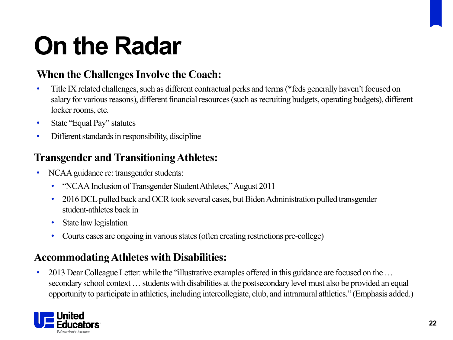# **On the Radar**

### **When the Challenges Involve the Coach:**

- Title IX related challenges, such as different contractual perks and terms (\*feds generally haven't focused on salary for various reasons), different financial resources (such as recruiting budgets, operating budgets), different locker rooms, etc.
- State "Equal Pay" statutes
- Different standards in responsibility, discipline

### **Transgender and Transitioning Athletes:**

- NCAA guidance re: transgender students:
	- "NCAA Inclusion of Transgender Student Athletes," August 2011
	- 2016 DCL pulled back and OCR took several cases, but Biden Administration pulled transgender student-athletes back in
	- State law legislation
	- Courts cases are ongoing in various states (often creating restrictions pre-college)

### **Accommodating Athletes with Disabilities:**

• 2013 Dear Colleague Letter: while the "illustrative examples offered in this guidance are focused on the ... secondary school context … students with disabilities at the postsecondary level must also be provided an equal opportunity to participate in athletics, including intercollegiate, club, and intramural athletics." (Emphasis added.)

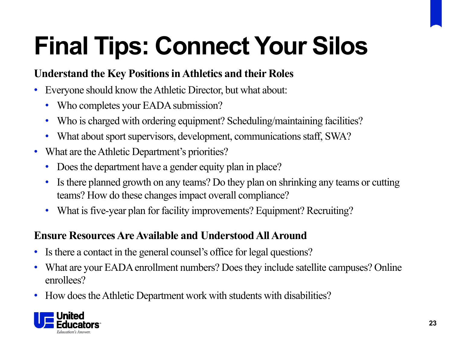# **Final Tips: Connect Your Silos**

### **Understand the Key Positions in Athletics and their Roles**

- Everyone should know the Athletic Director, but what about:
	- Who completes your EADA submission?
	- Who is charged with ordering equipment? Scheduling/maintaining facilities?
	- What about sport supervisors, development, communications staff, SWA?
- What are the Athletic Department's priorities?
	- Does the department have a gender equity plan in place?
	- Is there planned growth on any teams? Do they plan on shrinking any teams or cutting teams? How do these changes impact overall compliance?
	- What is five-year plan for facility improvements? Equipment? Recruiting?

### **Ensure Resources Are Available and Understood All Around**

- Is there a contact in the general counsel's office for legal questions?
- What are your EADA enrollment numbers? Does they include satellite campuses? Online enrollees?
- How does the Athletic Department work with students with disabilities?

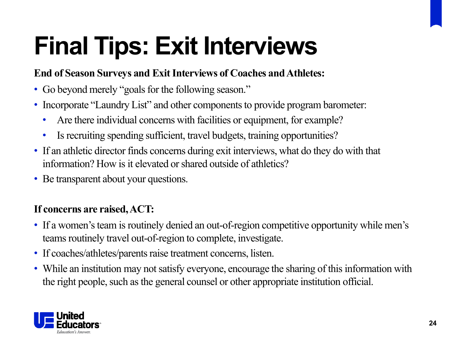# **Final Tips: Exit Interviews**

### **End of Season Surveys and Exit Interviews of Coaches and Athletes:**

- Go beyond merely "goals for the following season."
- Incorporate "Laundry List" and other components to provide program barometer:
	- Are there individual concerns with facilities or equipment, for example?
	- Is recruiting spending sufficient, travel budgets, training opportunities?
- If an athletic director finds concerns during exit interviews, what do they do with that information? How is it elevated or shared outside of athletics?
- Be transparent about your questions.

### **If concerns are raised, ACT:**

- If a women's team is routinely denied an out-of-region competitive opportunity while men's teams routinely travel out-of-region to complete, investigate.
- If coaches/athletes/parents raise treatment concerns, listen.
- While an institution may not satisfy everyone, encourage the sharing of this information with the right people, such as the general counsel or other appropriate institution official.

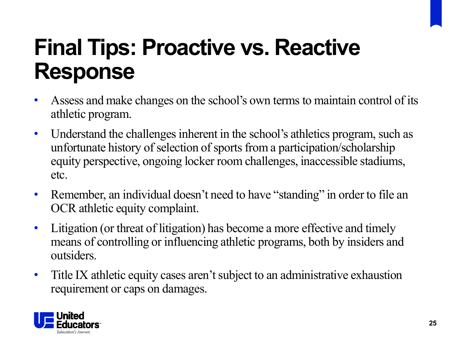## **Final Tips: Proactive vs. Reactive Response**

- Assess and make changes on the school's own terms to maintain control of its athletic program.
- Understand the challenges inherent in the school's athletics program, such as unfortunate history of selection of sports from a participation/scholarship equity perspective, ongoing locker room challenges, inaccessible stadiums, etc.
- Remember, an individual doesn't need to have "standing" in order to file an OCR athletic equity complaint.
- Litigation (or threat of litigation) has become a more effective and timely means of controlling or influencing athletic programs, both by insiders and outsiders.
- Title IX athletic equity cases aren't subject to an administrative exhaustion requirement or caps on damages.

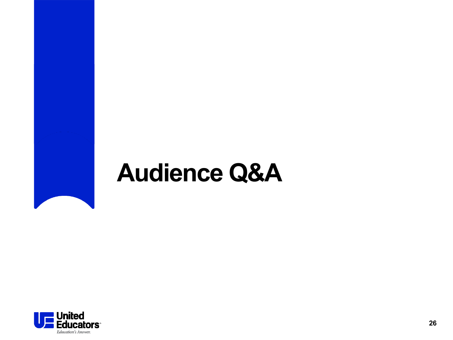## **Audience Q&A**

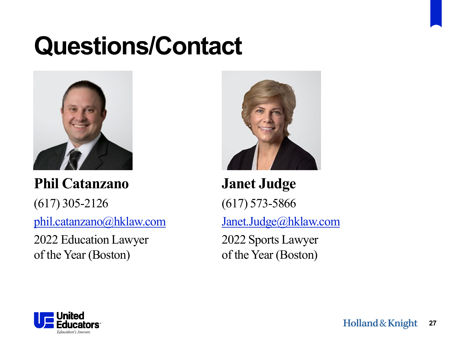# **Questions/Contact**



**Phil Catanzano** (617) 305-2126 [phil.catanzano@hklaw.com](mailto:phil.catanzano@hklaw.com)

2022 Education Lawyer of the Year (Boston)



**Janet Judge** (617) 573-5866 [Janet.Judge@hklaw.com](mailto:Janet.Judge@hklaw.com) 2022 Sports Lawyer of the Year (Boston)